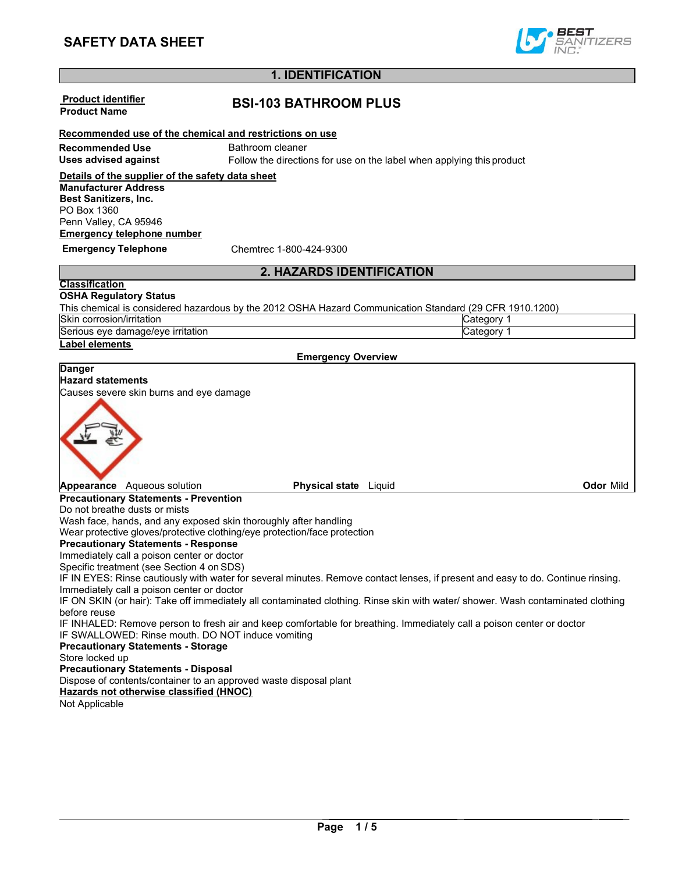

# **1. IDENTIFICATION**

|                                                                           | 1. IDEN I IFICA I ION        |                                                                                                                                  |                  |
|---------------------------------------------------------------------------|------------------------------|----------------------------------------------------------------------------------------------------------------------------------|------------------|
| <b>Product identifier</b><br><b>Product Name</b>                          | <b>BSI-103 BATHROOM PLUS</b> |                                                                                                                                  |                  |
| Recommended use of the chemical and restrictions on use                   |                              |                                                                                                                                  |                  |
| <b>Recommended Use</b>                                                    | Bathroom cleaner             |                                                                                                                                  |                  |
| <b>Uses advised against</b>                                               |                              | Follow the directions for use on the label when applying this product                                                            |                  |
|                                                                           |                              |                                                                                                                                  |                  |
| Details of the supplier of the safety data sheet                          |                              |                                                                                                                                  |                  |
| <b>Manufacturer Address</b>                                               |                              |                                                                                                                                  |                  |
| <b>Best Sanitizers, Inc.</b><br>PO Box 1360                               |                              |                                                                                                                                  |                  |
| Penn Valley, CA 95946                                                     |                              |                                                                                                                                  |                  |
| <b>Emergency telephone number</b>                                         |                              |                                                                                                                                  |                  |
|                                                                           |                              |                                                                                                                                  |                  |
| <b>Emergency Telephone</b>                                                | Chemtrec 1-800-424-9300      |                                                                                                                                  |                  |
|                                                                           | 2. HAZARDS IDENTIFICATION    |                                                                                                                                  |                  |
| <b>Classification</b>                                                     |                              |                                                                                                                                  |                  |
| <b>OSHA Regulatory Status</b>                                             |                              |                                                                                                                                  |                  |
|                                                                           |                              | This chemical is considered hazardous by the 2012 OSHA Hazard Communication Standard (29 CFR 1910.1200)                          |                  |
| Skin corrosion/irritation                                                 |                              | Category 1                                                                                                                       |                  |
| Serious eye damage/eye irritation                                         |                              | Category 1                                                                                                                       |                  |
| Label elements                                                            |                              |                                                                                                                                  |                  |
|                                                                           | <b>Emergency Overview</b>    |                                                                                                                                  |                  |
| <b>Danger</b>                                                             |                              |                                                                                                                                  |                  |
| <b>Hazard statements</b><br>Causes severe skin burns and eye damage       |                              |                                                                                                                                  |                  |
|                                                                           |                              |                                                                                                                                  |                  |
| Appearance Aqueous solution                                               | <b>Physical state</b> Liquid |                                                                                                                                  | <b>Odor Mild</b> |
| <b>Precautionary Statements - Prevention</b>                              |                              |                                                                                                                                  |                  |
| Do not breathe dusts or mists                                             |                              |                                                                                                                                  |                  |
| Wash face, hands, and any exposed skin thoroughly after handling          |                              |                                                                                                                                  |                  |
| Wear protective gloves/protective clothing/eye protection/face protection |                              |                                                                                                                                  |                  |
| <b>Precautionary Statements - Response</b>                                |                              |                                                                                                                                  |                  |
| Immediately call a poison center or doctor                                |                              |                                                                                                                                  |                  |
| Specific treatment (see Section 4 on SDS)                                 |                              |                                                                                                                                  |                  |
|                                                                           |                              | IF IN EYES: Rinse cautiously with water for several minutes. Remove contact lenses, if present and easy to do. Continue rinsing. |                  |
| Immediately call a poison center or doctor                                |                              |                                                                                                                                  |                  |
| before reuse                                                              |                              | IF ON SKIN (or hair): Take off immediately all contaminated clothing. Rinse skin with water/ shower. Wash contaminated clothing  |                  |
|                                                                           |                              | IF INHALED: Remove person to fresh air and keep comfortable for breathing. Immediately call a poison center or doctor            |                  |
| IF SWALLOWED: Rinse mouth. DO NOT induce vomiting                         |                              |                                                                                                                                  |                  |
| <b>Precautionary Statements - Storage</b>                                 |                              |                                                                                                                                  |                  |
| Store locked up                                                           |                              |                                                                                                                                  |                  |
| <b>Precautionary Statements - Disposal</b>                                |                              |                                                                                                                                  |                  |
| Dispose of contents/container to an approved waste disposal plant         |                              |                                                                                                                                  |                  |
| Hazards not otherwise classified (HNOC)                                   |                              |                                                                                                                                  |                  |
| Not Applicable                                                            |                              |                                                                                                                                  |                  |
|                                                                           |                              |                                                                                                                                  |                  |
|                                                                           |                              |                                                                                                                                  |                  |
|                                                                           |                              |                                                                                                                                  |                  |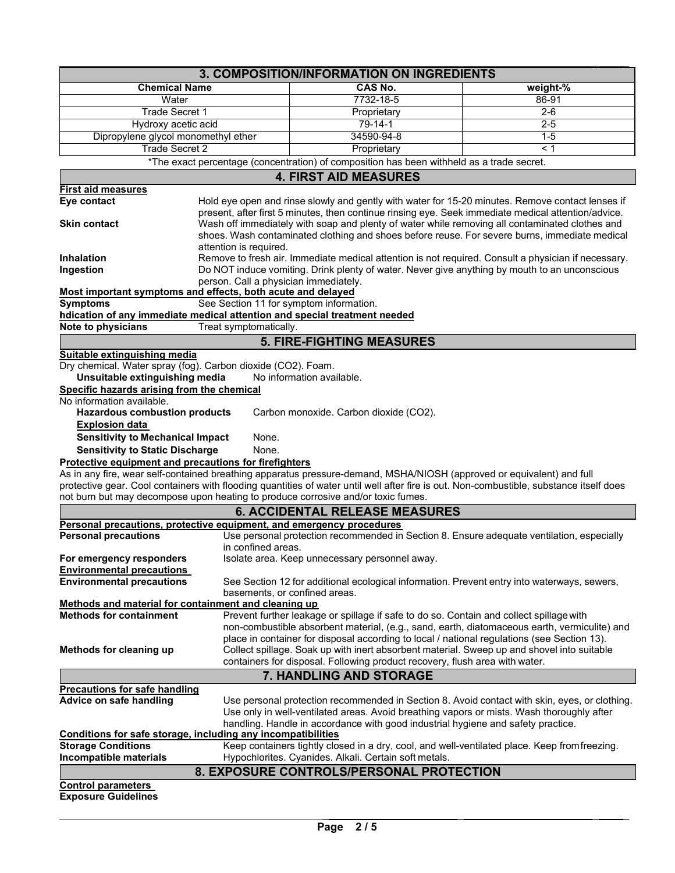| 3. COMPOSITION/INFORMATION ON INGREDIENTS<br><b>Chemical Name</b><br><b>CAS No.</b><br>weight-%<br>7732-18-5<br>Water<br>86-91<br>Trade Secret 1<br>$2 - 6$<br>Proprietary<br>$79 - 14 - 1$<br>Hydroxy acetic acid<br>$2 - 5$<br>34590-94-8<br>$1-5$<br>Dipropylene glycol monomethyl ether<br><b>Trade Secret 2</b><br>Proprietary<br>< 1<br>*The exact percentage (concentration) of composition has been withheld as a trade secret.<br><b>4. FIRST AID MEASURES</b><br><b>First aid measures</b><br>Hold eye open and rinse slowly and gently with water for 15-20 minutes. Remove contact lenses if<br>Eye contact<br>present, after first 5 minutes, then continue rinsing eye. Seek immediate medical attention/advice.<br>Wash off immediately with soap and plenty of water while removing all contaminated clothes and<br><b>Skin contact</b><br>shoes. Wash contaminated clothing and shoes before reuse. For severe burns, immediate medical<br>attention is required.<br>Remove to fresh air. Immediate medical attention is not required. Consult a physician if necessary.<br>Do NOT induce vomiting. Drink plenty of water. Never give anything by mouth to an unconscious<br>person. Call a physician immediately.<br>Most important symptoms and effects, both acute and delayed<br>See Section 11 for symptom information.<br><b>Symptoms</b><br>hdication of any immediate medical attention and special treatment needed<br>Note to physicians<br>Treat symptomatically.<br><b>5. FIRE-FIGHTING MEASURES</b><br>Suitable extinguishing media<br>Dry chemical. Water spray (fog). Carbon dioxide (CO2). Foam.<br>Unsuitable extinguishing media<br>No information available.<br>Specific hazards arising from the chemical<br>No information available.<br><b>Hazardous combustion products</b><br>Carbon monoxide. Carbon dioxide (CO2).<br><b>Explosion data</b><br><b>Sensitivity to Mechanical Impact</b><br>None.<br><b>Sensitivity to Static Discharge</b><br>None.<br>Protective equipment and precautions for firefighters<br>As in any fire, wear self-contained breathing apparatus pressure-demand, MSHA/NIOSH (approved or equivalent) and full<br>protective gear. Cool containers with flooding quantities of water until well after fire is out. Non-combustible, substance itself does<br>not burn but may decompose upon heating to produce corrosive and/or toxic fumes.<br><b>6. ACCIDENTAL RELEASE MEASURES</b><br>Personal precautions, protective equipment, and emergency procedures<br><b>Personal precautions</b><br>Use personal protection recommended in Section 8. Ensure adequate ventilation, especially<br>in confined areas.<br>For emergency responders<br>Isolate area. Keep unnecessary personnel away.<br><b>Environmental precautions</b><br><b>Environmental precautions</b><br>See Section 12 for additional ecological information. Prevent entry into waterways, sewers, |  |  |  |  |
|----------------------------------------------------------------------------------------------------------------------------------------------------------------------------------------------------------------------------------------------------------------------------------------------------------------------------------------------------------------------------------------------------------------------------------------------------------------------------------------------------------------------------------------------------------------------------------------------------------------------------------------------------------------------------------------------------------------------------------------------------------------------------------------------------------------------------------------------------------------------------------------------------------------------------------------------------------------------------------------------------------------------------------------------------------------------------------------------------------------------------------------------------------------------------------------------------------------------------------------------------------------------------------------------------------------------------------------------------------------------------------------------------------------------------------------------------------------------------------------------------------------------------------------------------------------------------------------------------------------------------------------------------------------------------------------------------------------------------------------------------------------------------------------------------------------------------------------------------------------------------------------------------------------------------------------------------------------------------------------------------------------------------------------------------------------------------------------------------------------------------------------------------------------------------------------------------------------------------------------------------------------------------------------------------------------------------------------------------------------------------------------------------------------------------------------------------------------------------------------------------------------------------------------------------------------------------------------------------------------------------------------------------------------------------------------------------------------------------------------------------------------------------------------------------------------------------------------------------------------------------------------------------------------------------------------|--|--|--|--|
|                                                                                                                                                                                                                                                                                                                                                                                                                                                                                                                                                                                                                                                                                                                                                                                                                                                                                                                                                                                                                                                                                                                                                                                                                                                                                                                                                                                                                                                                                                                                                                                                                                                                                                                                                                                                                                                                                                                                                                                                                                                                                                                                                                                                                                                                                                                                                                                                                                                                                                                                                                                                                                                                                                                                                                                                                                                                                                                                        |  |  |  |  |
|                                                                                                                                                                                                                                                                                                                                                                                                                                                                                                                                                                                                                                                                                                                                                                                                                                                                                                                                                                                                                                                                                                                                                                                                                                                                                                                                                                                                                                                                                                                                                                                                                                                                                                                                                                                                                                                                                                                                                                                                                                                                                                                                                                                                                                                                                                                                                                                                                                                                                                                                                                                                                                                                                                                                                                                                                                                                                                                                        |  |  |  |  |
|                                                                                                                                                                                                                                                                                                                                                                                                                                                                                                                                                                                                                                                                                                                                                                                                                                                                                                                                                                                                                                                                                                                                                                                                                                                                                                                                                                                                                                                                                                                                                                                                                                                                                                                                                                                                                                                                                                                                                                                                                                                                                                                                                                                                                                                                                                                                                                                                                                                                                                                                                                                                                                                                                                                                                                                                                                                                                                                                        |  |  |  |  |
|                                                                                                                                                                                                                                                                                                                                                                                                                                                                                                                                                                                                                                                                                                                                                                                                                                                                                                                                                                                                                                                                                                                                                                                                                                                                                                                                                                                                                                                                                                                                                                                                                                                                                                                                                                                                                                                                                                                                                                                                                                                                                                                                                                                                                                                                                                                                                                                                                                                                                                                                                                                                                                                                                                                                                                                                                                                                                                                                        |  |  |  |  |
|                                                                                                                                                                                                                                                                                                                                                                                                                                                                                                                                                                                                                                                                                                                                                                                                                                                                                                                                                                                                                                                                                                                                                                                                                                                                                                                                                                                                                                                                                                                                                                                                                                                                                                                                                                                                                                                                                                                                                                                                                                                                                                                                                                                                                                                                                                                                                                                                                                                                                                                                                                                                                                                                                                                                                                                                                                                                                                                                        |  |  |  |  |
|                                                                                                                                                                                                                                                                                                                                                                                                                                                                                                                                                                                                                                                                                                                                                                                                                                                                                                                                                                                                                                                                                                                                                                                                                                                                                                                                                                                                                                                                                                                                                                                                                                                                                                                                                                                                                                                                                                                                                                                                                                                                                                                                                                                                                                                                                                                                                                                                                                                                                                                                                                                                                                                                                                                                                                                                                                                                                                                                        |  |  |  |  |
|                                                                                                                                                                                                                                                                                                                                                                                                                                                                                                                                                                                                                                                                                                                                                                                                                                                                                                                                                                                                                                                                                                                                                                                                                                                                                                                                                                                                                                                                                                                                                                                                                                                                                                                                                                                                                                                                                                                                                                                                                                                                                                                                                                                                                                                                                                                                                                                                                                                                                                                                                                                                                                                                                                                                                                                                                                                                                                                                        |  |  |  |  |
|                                                                                                                                                                                                                                                                                                                                                                                                                                                                                                                                                                                                                                                                                                                                                                                                                                                                                                                                                                                                                                                                                                                                                                                                                                                                                                                                                                                                                                                                                                                                                                                                                                                                                                                                                                                                                                                                                                                                                                                                                                                                                                                                                                                                                                                                                                                                                                                                                                                                                                                                                                                                                                                                                                                                                                                                                                                                                                                                        |  |  |  |  |
|                                                                                                                                                                                                                                                                                                                                                                                                                                                                                                                                                                                                                                                                                                                                                                                                                                                                                                                                                                                                                                                                                                                                                                                                                                                                                                                                                                                                                                                                                                                                                                                                                                                                                                                                                                                                                                                                                                                                                                                                                                                                                                                                                                                                                                                                                                                                                                                                                                                                                                                                                                                                                                                                                                                                                                                                                                                                                                                                        |  |  |  |  |
| <b>Inhalation</b><br>Ingestion                                                                                                                                                                                                                                                                                                                                                                                                                                                                                                                                                                                                                                                                                                                                                                                                                                                                                                                                                                                                                                                                                                                                                                                                                                                                                                                                                                                                                                                                                                                                                                                                                                                                                                                                                                                                                                                                                                                                                                                                                                                                                                                                                                                                                                                                                                                                                                                                                                                                                                                                                                                                                                                                                                                                                                                                                                                                                                         |  |  |  |  |
|                                                                                                                                                                                                                                                                                                                                                                                                                                                                                                                                                                                                                                                                                                                                                                                                                                                                                                                                                                                                                                                                                                                                                                                                                                                                                                                                                                                                                                                                                                                                                                                                                                                                                                                                                                                                                                                                                                                                                                                                                                                                                                                                                                                                                                                                                                                                                                                                                                                                                                                                                                                                                                                                                                                                                                                                                                                                                                                                        |  |  |  |  |
|                                                                                                                                                                                                                                                                                                                                                                                                                                                                                                                                                                                                                                                                                                                                                                                                                                                                                                                                                                                                                                                                                                                                                                                                                                                                                                                                                                                                                                                                                                                                                                                                                                                                                                                                                                                                                                                                                                                                                                                                                                                                                                                                                                                                                                                                                                                                                                                                                                                                                                                                                                                                                                                                                                                                                                                                                                                                                                                                        |  |  |  |  |
|                                                                                                                                                                                                                                                                                                                                                                                                                                                                                                                                                                                                                                                                                                                                                                                                                                                                                                                                                                                                                                                                                                                                                                                                                                                                                                                                                                                                                                                                                                                                                                                                                                                                                                                                                                                                                                                                                                                                                                                                                                                                                                                                                                                                                                                                                                                                                                                                                                                                                                                                                                                                                                                                                                                                                                                                                                                                                                                                        |  |  |  |  |
|                                                                                                                                                                                                                                                                                                                                                                                                                                                                                                                                                                                                                                                                                                                                                                                                                                                                                                                                                                                                                                                                                                                                                                                                                                                                                                                                                                                                                                                                                                                                                                                                                                                                                                                                                                                                                                                                                                                                                                                                                                                                                                                                                                                                                                                                                                                                                                                                                                                                                                                                                                                                                                                                                                                                                                                                                                                                                                                                        |  |  |  |  |
|                                                                                                                                                                                                                                                                                                                                                                                                                                                                                                                                                                                                                                                                                                                                                                                                                                                                                                                                                                                                                                                                                                                                                                                                                                                                                                                                                                                                                                                                                                                                                                                                                                                                                                                                                                                                                                                                                                                                                                                                                                                                                                                                                                                                                                                                                                                                                                                                                                                                                                                                                                                                                                                                                                                                                                                                                                                                                                                                        |  |  |  |  |
|                                                                                                                                                                                                                                                                                                                                                                                                                                                                                                                                                                                                                                                                                                                                                                                                                                                                                                                                                                                                                                                                                                                                                                                                                                                                                                                                                                                                                                                                                                                                                                                                                                                                                                                                                                                                                                                                                                                                                                                                                                                                                                                                                                                                                                                                                                                                                                                                                                                                                                                                                                                                                                                                                                                                                                                                                                                                                                                                        |  |  |  |  |
|                                                                                                                                                                                                                                                                                                                                                                                                                                                                                                                                                                                                                                                                                                                                                                                                                                                                                                                                                                                                                                                                                                                                                                                                                                                                                                                                                                                                                                                                                                                                                                                                                                                                                                                                                                                                                                                                                                                                                                                                                                                                                                                                                                                                                                                                                                                                                                                                                                                                                                                                                                                                                                                                                                                                                                                                                                                                                                                                        |  |  |  |  |
|                                                                                                                                                                                                                                                                                                                                                                                                                                                                                                                                                                                                                                                                                                                                                                                                                                                                                                                                                                                                                                                                                                                                                                                                                                                                                                                                                                                                                                                                                                                                                                                                                                                                                                                                                                                                                                                                                                                                                                                                                                                                                                                                                                                                                                                                                                                                                                                                                                                                                                                                                                                                                                                                                                                                                                                                                                                                                                                                        |  |  |  |  |
|                                                                                                                                                                                                                                                                                                                                                                                                                                                                                                                                                                                                                                                                                                                                                                                                                                                                                                                                                                                                                                                                                                                                                                                                                                                                                                                                                                                                                                                                                                                                                                                                                                                                                                                                                                                                                                                                                                                                                                                                                                                                                                                                                                                                                                                                                                                                                                                                                                                                                                                                                                                                                                                                                                                                                                                                                                                                                                                                        |  |  |  |  |
|                                                                                                                                                                                                                                                                                                                                                                                                                                                                                                                                                                                                                                                                                                                                                                                                                                                                                                                                                                                                                                                                                                                                                                                                                                                                                                                                                                                                                                                                                                                                                                                                                                                                                                                                                                                                                                                                                                                                                                                                                                                                                                                                                                                                                                                                                                                                                                                                                                                                                                                                                                                                                                                                                                                                                                                                                                                                                                                                        |  |  |  |  |
|                                                                                                                                                                                                                                                                                                                                                                                                                                                                                                                                                                                                                                                                                                                                                                                                                                                                                                                                                                                                                                                                                                                                                                                                                                                                                                                                                                                                                                                                                                                                                                                                                                                                                                                                                                                                                                                                                                                                                                                                                                                                                                                                                                                                                                                                                                                                                                                                                                                                                                                                                                                                                                                                                                                                                                                                                                                                                                                                        |  |  |  |  |
|                                                                                                                                                                                                                                                                                                                                                                                                                                                                                                                                                                                                                                                                                                                                                                                                                                                                                                                                                                                                                                                                                                                                                                                                                                                                                                                                                                                                                                                                                                                                                                                                                                                                                                                                                                                                                                                                                                                                                                                                                                                                                                                                                                                                                                                                                                                                                                                                                                                                                                                                                                                                                                                                                                                                                                                                                                                                                                                                        |  |  |  |  |
|                                                                                                                                                                                                                                                                                                                                                                                                                                                                                                                                                                                                                                                                                                                                                                                                                                                                                                                                                                                                                                                                                                                                                                                                                                                                                                                                                                                                                                                                                                                                                                                                                                                                                                                                                                                                                                                                                                                                                                                                                                                                                                                                                                                                                                                                                                                                                                                                                                                                                                                                                                                                                                                                                                                                                                                                                                                                                                                                        |  |  |  |  |
|                                                                                                                                                                                                                                                                                                                                                                                                                                                                                                                                                                                                                                                                                                                                                                                                                                                                                                                                                                                                                                                                                                                                                                                                                                                                                                                                                                                                                                                                                                                                                                                                                                                                                                                                                                                                                                                                                                                                                                                                                                                                                                                                                                                                                                                                                                                                                                                                                                                                                                                                                                                                                                                                                                                                                                                                                                                                                                                                        |  |  |  |  |
|                                                                                                                                                                                                                                                                                                                                                                                                                                                                                                                                                                                                                                                                                                                                                                                                                                                                                                                                                                                                                                                                                                                                                                                                                                                                                                                                                                                                                                                                                                                                                                                                                                                                                                                                                                                                                                                                                                                                                                                                                                                                                                                                                                                                                                                                                                                                                                                                                                                                                                                                                                                                                                                                                                                                                                                                                                                                                                                                        |  |  |  |  |
|                                                                                                                                                                                                                                                                                                                                                                                                                                                                                                                                                                                                                                                                                                                                                                                                                                                                                                                                                                                                                                                                                                                                                                                                                                                                                                                                                                                                                                                                                                                                                                                                                                                                                                                                                                                                                                                                                                                                                                                                                                                                                                                                                                                                                                                                                                                                                                                                                                                                                                                                                                                                                                                                                                                                                                                                                                                                                                                                        |  |  |  |  |
|                                                                                                                                                                                                                                                                                                                                                                                                                                                                                                                                                                                                                                                                                                                                                                                                                                                                                                                                                                                                                                                                                                                                                                                                                                                                                                                                                                                                                                                                                                                                                                                                                                                                                                                                                                                                                                                                                                                                                                                                                                                                                                                                                                                                                                                                                                                                                                                                                                                                                                                                                                                                                                                                                                                                                                                                                                                                                                                                        |  |  |  |  |
|                                                                                                                                                                                                                                                                                                                                                                                                                                                                                                                                                                                                                                                                                                                                                                                                                                                                                                                                                                                                                                                                                                                                                                                                                                                                                                                                                                                                                                                                                                                                                                                                                                                                                                                                                                                                                                                                                                                                                                                                                                                                                                                                                                                                                                                                                                                                                                                                                                                                                                                                                                                                                                                                                                                                                                                                                                                                                                                                        |  |  |  |  |
|                                                                                                                                                                                                                                                                                                                                                                                                                                                                                                                                                                                                                                                                                                                                                                                                                                                                                                                                                                                                                                                                                                                                                                                                                                                                                                                                                                                                                                                                                                                                                                                                                                                                                                                                                                                                                                                                                                                                                                                                                                                                                                                                                                                                                                                                                                                                                                                                                                                                                                                                                                                                                                                                                                                                                                                                                                                                                                                                        |  |  |  |  |
|                                                                                                                                                                                                                                                                                                                                                                                                                                                                                                                                                                                                                                                                                                                                                                                                                                                                                                                                                                                                                                                                                                                                                                                                                                                                                                                                                                                                                                                                                                                                                                                                                                                                                                                                                                                                                                                                                                                                                                                                                                                                                                                                                                                                                                                                                                                                                                                                                                                                                                                                                                                                                                                                                                                                                                                                                                                                                                                                        |  |  |  |  |
|                                                                                                                                                                                                                                                                                                                                                                                                                                                                                                                                                                                                                                                                                                                                                                                                                                                                                                                                                                                                                                                                                                                                                                                                                                                                                                                                                                                                                                                                                                                                                                                                                                                                                                                                                                                                                                                                                                                                                                                                                                                                                                                                                                                                                                                                                                                                                                                                                                                                                                                                                                                                                                                                                                                                                                                                                                                                                                                                        |  |  |  |  |
|                                                                                                                                                                                                                                                                                                                                                                                                                                                                                                                                                                                                                                                                                                                                                                                                                                                                                                                                                                                                                                                                                                                                                                                                                                                                                                                                                                                                                                                                                                                                                                                                                                                                                                                                                                                                                                                                                                                                                                                                                                                                                                                                                                                                                                                                                                                                                                                                                                                                                                                                                                                                                                                                                                                                                                                                                                                                                                                                        |  |  |  |  |
|                                                                                                                                                                                                                                                                                                                                                                                                                                                                                                                                                                                                                                                                                                                                                                                                                                                                                                                                                                                                                                                                                                                                                                                                                                                                                                                                                                                                                                                                                                                                                                                                                                                                                                                                                                                                                                                                                                                                                                                                                                                                                                                                                                                                                                                                                                                                                                                                                                                                                                                                                                                                                                                                                                                                                                                                                                                                                                                                        |  |  |  |  |
|                                                                                                                                                                                                                                                                                                                                                                                                                                                                                                                                                                                                                                                                                                                                                                                                                                                                                                                                                                                                                                                                                                                                                                                                                                                                                                                                                                                                                                                                                                                                                                                                                                                                                                                                                                                                                                                                                                                                                                                                                                                                                                                                                                                                                                                                                                                                                                                                                                                                                                                                                                                                                                                                                                                                                                                                                                                                                                                                        |  |  |  |  |
|                                                                                                                                                                                                                                                                                                                                                                                                                                                                                                                                                                                                                                                                                                                                                                                                                                                                                                                                                                                                                                                                                                                                                                                                                                                                                                                                                                                                                                                                                                                                                                                                                                                                                                                                                                                                                                                                                                                                                                                                                                                                                                                                                                                                                                                                                                                                                                                                                                                                                                                                                                                                                                                                                                                                                                                                                                                                                                                                        |  |  |  |  |
|                                                                                                                                                                                                                                                                                                                                                                                                                                                                                                                                                                                                                                                                                                                                                                                                                                                                                                                                                                                                                                                                                                                                                                                                                                                                                                                                                                                                                                                                                                                                                                                                                                                                                                                                                                                                                                                                                                                                                                                                                                                                                                                                                                                                                                                                                                                                                                                                                                                                                                                                                                                                                                                                                                                                                                                                                                                                                                                                        |  |  |  |  |
|                                                                                                                                                                                                                                                                                                                                                                                                                                                                                                                                                                                                                                                                                                                                                                                                                                                                                                                                                                                                                                                                                                                                                                                                                                                                                                                                                                                                                                                                                                                                                                                                                                                                                                                                                                                                                                                                                                                                                                                                                                                                                                                                                                                                                                                                                                                                                                                                                                                                                                                                                                                                                                                                                                                                                                                                                                                                                                                                        |  |  |  |  |
|                                                                                                                                                                                                                                                                                                                                                                                                                                                                                                                                                                                                                                                                                                                                                                                                                                                                                                                                                                                                                                                                                                                                                                                                                                                                                                                                                                                                                                                                                                                                                                                                                                                                                                                                                                                                                                                                                                                                                                                                                                                                                                                                                                                                                                                                                                                                                                                                                                                                                                                                                                                                                                                                                                                                                                                                                                                                                                                                        |  |  |  |  |
|                                                                                                                                                                                                                                                                                                                                                                                                                                                                                                                                                                                                                                                                                                                                                                                                                                                                                                                                                                                                                                                                                                                                                                                                                                                                                                                                                                                                                                                                                                                                                                                                                                                                                                                                                                                                                                                                                                                                                                                                                                                                                                                                                                                                                                                                                                                                                                                                                                                                                                                                                                                                                                                                                                                                                                                                                                                                                                                                        |  |  |  |  |
|                                                                                                                                                                                                                                                                                                                                                                                                                                                                                                                                                                                                                                                                                                                                                                                                                                                                                                                                                                                                                                                                                                                                                                                                                                                                                                                                                                                                                                                                                                                                                                                                                                                                                                                                                                                                                                                                                                                                                                                                                                                                                                                                                                                                                                                                                                                                                                                                                                                                                                                                                                                                                                                                                                                                                                                                                                                                                                                                        |  |  |  |  |
| basements, or confined areas.                                                                                                                                                                                                                                                                                                                                                                                                                                                                                                                                                                                                                                                                                                                                                                                                                                                                                                                                                                                                                                                                                                                                                                                                                                                                                                                                                                                                                                                                                                                                                                                                                                                                                                                                                                                                                                                                                                                                                                                                                                                                                                                                                                                                                                                                                                                                                                                                                                                                                                                                                                                                                                                                                                                                                                                                                                                                                                          |  |  |  |  |
| Methods and material for containment and cleaning up                                                                                                                                                                                                                                                                                                                                                                                                                                                                                                                                                                                                                                                                                                                                                                                                                                                                                                                                                                                                                                                                                                                                                                                                                                                                                                                                                                                                                                                                                                                                                                                                                                                                                                                                                                                                                                                                                                                                                                                                                                                                                                                                                                                                                                                                                                                                                                                                                                                                                                                                                                                                                                                                                                                                                                                                                                                                                   |  |  |  |  |
| <b>Methods for containment</b><br>Prevent further leakage or spillage if safe to do so. Contain and collect spillage with                                                                                                                                                                                                                                                                                                                                                                                                                                                                                                                                                                                                                                                                                                                                                                                                                                                                                                                                                                                                                                                                                                                                                                                                                                                                                                                                                                                                                                                                                                                                                                                                                                                                                                                                                                                                                                                                                                                                                                                                                                                                                                                                                                                                                                                                                                                                                                                                                                                                                                                                                                                                                                                                                                                                                                                                              |  |  |  |  |
| non-combustible absorbent material, (e.g., sand, earth, diatomaceous earth, vermiculite) and                                                                                                                                                                                                                                                                                                                                                                                                                                                                                                                                                                                                                                                                                                                                                                                                                                                                                                                                                                                                                                                                                                                                                                                                                                                                                                                                                                                                                                                                                                                                                                                                                                                                                                                                                                                                                                                                                                                                                                                                                                                                                                                                                                                                                                                                                                                                                                                                                                                                                                                                                                                                                                                                                                                                                                                                                                           |  |  |  |  |
| place in container for disposal according to local / national regulations (see Section 13).                                                                                                                                                                                                                                                                                                                                                                                                                                                                                                                                                                                                                                                                                                                                                                                                                                                                                                                                                                                                                                                                                                                                                                                                                                                                                                                                                                                                                                                                                                                                                                                                                                                                                                                                                                                                                                                                                                                                                                                                                                                                                                                                                                                                                                                                                                                                                                                                                                                                                                                                                                                                                                                                                                                                                                                                                                            |  |  |  |  |
| Collect spillage. Soak up with inert absorbent material. Sweep up and shovel into suitable<br>Methods for cleaning up                                                                                                                                                                                                                                                                                                                                                                                                                                                                                                                                                                                                                                                                                                                                                                                                                                                                                                                                                                                                                                                                                                                                                                                                                                                                                                                                                                                                                                                                                                                                                                                                                                                                                                                                                                                                                                                                                                                                                                                                                                                                                                                                                                                                                                                                                                                                                                                                                                                                                                                                                                                                                                                                                                                                                                                                                  |  |  |  |  |
| containers for disposal. Following product recovery, flush area with water.                                                                                                                                                                                                                                                                                                                                                                                                                                                                                                                                                                                                                                                                                                                                                                                                                                                                                                                                                                                                                                                                                                                                                                                                                                                                                                                                                                                                                                                                                                                                                                                                                                                                                                                                                                                                                                                                                                                                                                                                                                                                                                                                                                                                                                                                                                                                                                                                                                                                                                                                                                                                                                                                                                                                                                                                                                                            |  |  |  |  |
| 7. HANDLING AND STORAGE                                                                                                                                                                                                                                                                                                                                                                                                                                                                                                                                                                                                                                                                                                                                                                                                                                                                                                                                                                                                                                                                                                                                                                                                                                                                                                                                                                                                                                                                                                                                                                                                                                                                                                                                                                                                                                                                                                                                                                                                                                                                                                                                                                                                                                                                                                                                                                                                                                                                                                                                                                                                                                                                                                                                                                                                                                                                                                                |  |  |  |  |
| <b>Precautions for safe handling</b>                                                                                                                                                                                                                                                                                                                                                                                                                                                                                                                                                                                                                                                                                                                                                                                                                                                                                                                                                                                                                                                                                                                                                                                                                                                                                                                                                                                                                                                                                                                                                                                                                                                                                                                                                                                                                                                                                                                                                                                                                                                                                                                                                                                                                                                                                                                                                                                                                                                                                                                                                                                                                                                                                                                                                                                                                                                                                                   |  |  |  |  |
| Advice on safe handling<br>Use personal protection recommended in Section 8. Avoid contact with skin, eyes, or clothing.                                                                                                                                                                                                                                                                                                                                                                                                                                                                                                                                                                                                                                                                                                                                                                                                                                                                                                                                                                                                                                                                                                                                                                                                                                                                                                                                                                                                                                                                                                                                                                                                                                                                                                                                                                                                                                                                                                                                                                                                                                                                                                                                                                                                                                                                                                                                                                                                                                                                                                                                                                                                                                                                                                                                                                                                               |  |  |  |  |
| Use only in well-ventilated areas. Avoid breathing vapors or mists. Wash thoroughly after                                                                                                                                                                                                                                                                                                                                                                                                                                                                                                                                                                                                                                                                                                                                                                                                                                                                                                                                                                                                                                                                                                                                                                                                                                                                                                                                                                                                                                                                                                                                                                                                                                                                                                                                                                                                                                                                                                                                                                                                                                                                                                                                                                                                                                                                                                                                                                                                                                                                                                                                                                                                                                                                                                                                                                                                                                              |  |  |  |  |
| handling. Handle in accordance with good industrial hygiene and safety practice.                                                                                                                                                                                                                                                                                                                                                                                                                                                                                                                                                                                                                                                                                                                                                                                                                                                                                                                                                                                                                                                                                                                                                                                                                                                                                                                                                                                                                                                                                                                                                                                                                                                                                                                                                                                                                                                                                                                                                                                                                                                                                                                                                                                                                                                                                                                                                                                                                                                                                                                                                                                                                                                                                                                                                                                                                                                       |  |  |  |  |
|                                                                                                                                                                                                                                                                                                                                                                                                                                                                                                                                                                                                                                                                                                                                                                                                                                                                                                                                                                                                                                                                                                                                                                                                                                                                                                                                                                                                                                                                                                                                                                                                                                                                                                                                                                                                                                                                                                                                                                                                                                                                                                                                                                                                                                                                                                                                                                                                                                                                                                                                                                                                                                                                                                                                                                                                                                                                                                                                        |  |  |  |  |
| Conditions for safe storage, including any incompatibilities                                                                                                                                                                                                                                                                                                                                                                                                                                                                                                                                                                                                                                                                                                                                                                                                                                                                                                                                                                                                                                                                                                                                                                                                                                                                                                                                                                                                                                                                                                                                                                                                                                                                                                                                                                                                                                                                                                                                                                                                                                                                                                                                                                                                                                                                                                                                                                                                                                                                                                                                                                                                                                                                                                                                                                                                                                                                           |  |  |  |  |
| <b>Storage Conditions</b><br>Keep containers tightly closed in a dry, cool, and well-ventilated place. Keep from freezing.                                                                                                                                                                                                                                                                                                                                                                                                                                                                                                                                                                                                                                                                                                                                                                                                                                                                                                                                                                                                                                                                                                                                                                                                                                                                                                                                                                                                                                                                                                                                                                                                                                                                                                                                                                                                                                                                                                                                                                                                                                                                                                                                                                                                                                                                                                                                                                                                                                                                                                                                                                                                                                                                                                                                                                                                             |  |  |  |  |
| Hypochlorites. Cyanides. Alkali. Certain soft metals.<br>Incompatible materials                                                                                                                                                                                                                                                                                                                                                                                                                                                                                                                                                                                                                                                                                                                                                                                                                                                                                                                                                                                                                                                                                                                                                                                                                                                                                                                                                                                                                                                                                                                                                                                                                                                                                                                                                                                                                                                                                                                                                                                                                                                                                                                                                                                                                                                                                                                                                                                                                                                                                                                                                                                                                                                                                                                                                                                                                                                        |  |  |  |  |
| 8. EXPOSURE CONTROLS/PERSONAL PROTECTION                                                                                                                                                                                                                                                                                                                                                                                                                                                                                                                                                                                                                                                                                                                                                                                                                                                                                                                                                                                                                                                                                                                                                                                                                                                                                                                                                                                                                                                                                                                                                                                                                                                                                                                                                                                                                                                                                                                                                                                                                                                                                                                                                                                                                                                                                                                                                                                                                                                                                                                                                                                                                                                                                                                                                                                                                                                                                               |  |  |  |  |
| <b>Control parameters</b>                                                                                                                                                                                                                                                                                                                                                                                                                                                                                                                                                                                                                                                                                                                                                                                                                                                                                                                                                                                                                                                                                                                                                                                                                                                                                                                                                                                                                                                                                                                                                                                                                                                                                                                                                                                                                                                                                                                                                                                                                                                                                                                                                                                                                                                                                                                                                                                                                                                                                                                                                                                                                                                                                                                                                                                                                                                                                                              |  |  |  |  |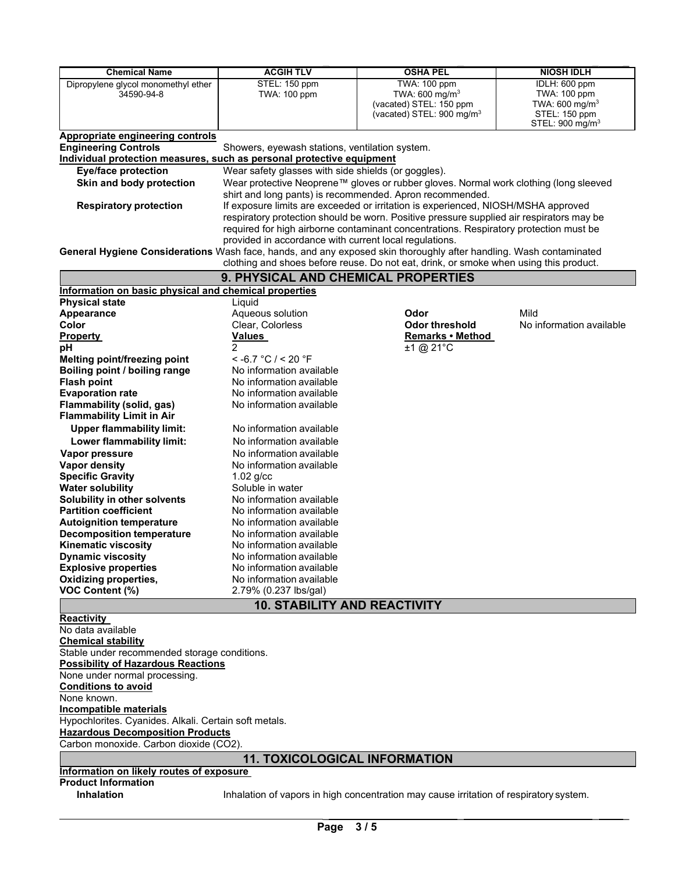| <b>Chemical Name</b>                                                                                               | <b>ACGIH TLV</b>                                                                                                                              | <b>OSHA PEL</b>                                                                          | <b>NIOSH IDLH</b>          |  |  |
|--------------------------------------------------------------------------------------------------------------------|-----------------------------------------------------------------------------------------------------------------------------------------------|------------------------------------------------------------------------------------------|----------------------------|--|--|
| Dipropylene glycol monomethyl ether                                                                                | STEL: 150 ppm                                                                                                                                 | TWA: 100 ppm                                                                             | IDLH: 600 ppm              |  |  |
| 34590-94-8                                                                                                         | <b>TWA: 100 ppm</b>                                                                                                                           | TWA: 600 mg/ $m3$                                                                        | <b>TWA: 100 ppm</b>        |  |  |
|                                                                                                                    |                                                                                                                                               | (vacated) STEL: 150 ppm                                                                  | TWA: 600 mg/ $m3$          |  |  |
|                                                                                                                    |                                                                                                                                               | (vacated) STEL: 900 mg/m <sup>3</sup>                                                    | STEL: 150 ppm              |  |  |
|                                                                                                                    |                                                                                                                                               |                                                                                          | STEL: $900 \text{ mg/m}^3$ |  |  |
| Appropriate engineering controls                                                                                   |                                                                                                                                               |                                                                                          |                            |  |  |
| <b>Engineering Controls</b><br>Individual protection measures, such as personal protective equipment               | Showers, eyewash stations, ventilation system.                                                                                                |                                                                                          |                            |  |  |
| <b>Eye/face protection</b>                                                                                         | Wear safety glasses with side shields (or goggles).                                                                                           |                                                                                          |                            |  |  |
| Skin and body protection                                                                                           |                                                                                                                                               |                                                                                          |                            |  |  |
|                                                                                                                    | Wear protective Neoprene™ gloves or rubber gloves. Normal work clothing (long sleeved                                                         |                                                                                          |                            |  |  |
|                                                                                                                    | shirt and long pants) is recommended. Apron recommended.<br>If exposure limits are exceeded or irritation is experienced, NIOSH/MSHA approved |                                                                                          |                            |  |  |
| <b>Respiratory protection</b>                                                                                      |                                                                                                                                               |                                                                                          |                            |  |  |
|                                                                                                                    |                                                                                                                                               | respiratory protection should be worn. Positive pressure supplied air respirators may be |                            |  |  |
|                                                                                                                    |                                                                                                                                               | required for high airborne contaminant concentrations. Respiratory protection must be    |                            |  |  |
|                                                                                                                    | provided in accordance with current local regulations.                                                                                        |                                                                                          |                            |  |  |
| General Hygiene Considerations Wash face, hands, and any exposed skin thoroughly after handling. Wash contaminated |                                                                                                                                               | clothing and shoes before reuse. Do not eat, drink, or smoke when using this product.    |                            |  |  |
|                                                                                                                    |                                                                                                                                               |                                                                                          |                            |  |  |
|                                                                                                                    | 9. PHYSICAL AND CHEMICAL PROPERTIES                                                                                                           |                                                                                          |                            |  |  |
| Information on basic physical and chemical properties<br><b>Physical state</b>                                     | Liquid                                                                                                                                        |                                                                                          |                            |  |  |
| <b>Appearance</b>                                                                                                  | Aqueous solution                                                                                                                              | Odor                                                                                     | Mild                       |  |  |
| Color                                                                                                              | Clear, Colorless                                                                                                                              | <b>Odor threshold</b>                                                                    | No information available   |  |  |
|                                                                                                                    | <b>Values</b>                                                                                                                                 | Remarks • Method                                                                         |                            |  |  |
| <b>Property</b>                                                                                                    | $\overline{2}$                                                                                                                                | $±1$ @ 21°C                                                                              |                            |  |  |
| рH<br>Melting point/freezing point                                                                                 | $<$ -6.7 °C / < 20 °F                                                                                                                         |                                                                                          |                            |  |  |
| Boiling point / boiling range                                                                                      | No information available                                                                                                                      |                                                                                          |                            |  |  |
| <b>Flash point</b>                                                                                                 | No information available                                                                                                                      |                                                                                          |                            |  |  |
|                                                                                                                    | No information available                                                                                                                      |                                                                                          |                            |  |  |
| <b>Evaporation rate</b>                                                                                            | No information available                                                                                                                      |                                                                                          |                            |  |  |
| Flammability (solid, gas)<br><b>Flammability Limit in Air</b>                                                      |                                                                                                                                               |                                                                                          |                            |  |  |
| <b>Upper flammability limit:</b>                                                                                   | No information available                                                                                                                      |                                                                                          |                            |  |  |
|                                                                                                                    |                                                                                                                                               |                                                                                          |                            |  |  |
| Lower flammability limit:                                                                                          | No information available                                                                                                                      |                                                                                          |                            |  |  |
| Vapor pressure                                                                                                     | No information available                                                                                                                      |                                                                                          |                            |  |  |
| <b>Vapor density</b>                                                                                               | No information available                                                                                                                      |                                                                                          |                            |  |  |
| <b>Specific Gravity</b>                                                                                            | $1.02$ g/cc                                                                                                                                   |                                                                                          |                            |  |  |
| <b>Water solubility</b>                                                                                            | Soluble in water                                                                                                                              |                                                                                          |                            |  |  |
| Solubility in other solvents                                                                                       | No information available                                                                                                                      |                                                                                          |                            |  |  |
| <b>Partition coefficient</b>                                                                                       | No information available                                                                                                                      |                                                                                          |                            |  |  |
| <b>Autoignition temperature</b>                                                                                    | No information available                                                                                                                      |                                                                                          |                            |  |  |
| <b>Decomposition temperature</b>                                                                                   | No information available                                                                                                                      |                                                                                          |                            |  |  |
| <b>Kinematic viscosity</b>                                                                                         | No information available                                                                                                                      |                                                                                          |                            |  |  |
| <b>Dynamic viscosity</b>                                                                                           | No information available                                                                                                                      |                                                                                          |                            |  |  |
| <b>Explosive properties</b>                                                                                        | No information available                                                                                                                      |                                                                                          |                            |  |  |
| <b>Oxidizing properties,</b>                                                                                       | No information available                                                                                                                      |                                                                                          |                            |  |  |
| <b>VOC Content (%)</b>                                                                                             | 2.79% (0.237 lbs/gal)                                                                                                                         |                                                                                          |                            |  |  |
|                                                                                                                    | <b>10. STABILITY AND REACTIVITY</b>                                                                                                           |                                                                                          |                            |  |  |
| <b>Reactivity</b>                                                                                                  |                                                                                                                                               |                                                                                          |                            |  |  |
| No data available                                                                                                  |                                                                                                                                               |                                                                                          |                            |  |  |
| <b>Chemical stability</b>                                                                                          |                                                                                                                                               |                                                                                          |                            |  |  |

**Chemical stability** Stable under recommended storage conditions. **Possibility of Hazardous Reactions** None under normal processing. **Conditions to avoid** None known. **Incompatible materials** Hypochlorites. Cyanides. Alkali. Certain soft metals. **Hazardous Decomposition Products** Carbon monoxide. Carbon dioxide (CO2). **11. TOXICOLOGICAL INFORMATION**

## **Information on likely routes of exposure**

# **Product Information**

Inhalation of vapors in high concentration may cause irritation of respiratory system.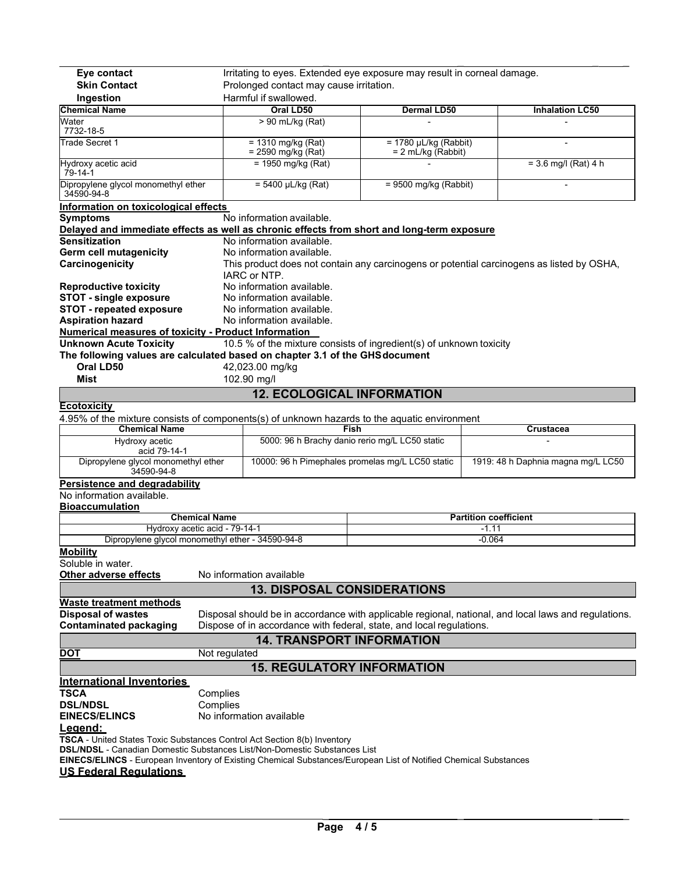| Eye contact<br>Irritating to eyes. Extended eye exposure may result in corneal damage.                                                                                                                      |                                                |                                                                                               |                                                                      |                                                                                                      |  |  |  |
|-------------------------------------------------------------------------------------------------------------------------------------------------------------------------------------------------------------|------------------------------------------------|-----------------------------------------------------------------------------------------------|----------------------------------------------------------------------|------------------------------------------------------------------------------------------------------|--|--|--|
| <b>Skin Contact</b><br>Prolonged contact may cause irritation.                                                                                                                                              |                                                |                                                                                               |                                                                      |                                                                                                      |  |  |  |
| Ingestion                                                                                                                                                                                                   | Harmful if swallowed.                          |                                                                                               |                                                                      |                                                                                                      |  |  |  |
| <b>Chemical Name</b>                                                                                                                                                                                        |                                                | Oral LD50                                                                                     | <b>Dermal LD50</b>                                                   | <b>Inhalation LC50</b>                                                                               |  |  |  |
| Water<br>7732-18-5                                                                                                                                                                                          |                                                | > 90 mL/kg (Rat)                                                                              |                                                                      |                                                                                                      |  |  |  |
| Trade Secret 1                                                                                                                                                                                              |                                                | $= 1310$ mg/kg (Rat)<br>$= 1780$ µL/kg (Rabbit)<br>= 2590 mg/kg (Rat)<br>$= 2$ mL/kg (Rabbit) |                                                                      |                                                                                                      |  |  |  |
| Hydroxy acetic acid<br>$79 - 14 - 1$                                                                                                                                                                        | $= 1950$ mg/kg (Rat)<br>$= 3.6$ mg/l (Rat) 4 h |                                                                                               |                                                                      |                                                                                                      |  |  |  |
| Dipropylene glycol monomethyl ether<br>$= 5400 \mu L/kg (Rat)$<br>$= 9500$ mg/kg (Rabbit)<br>34590-94-8                                                                                                     |                                                |                                                                                               |                                                                      |                                                                                                      |  |  |  |
| Information on toxicological effects                                                                                                                                                                        |                                                |                                                                                               |                                                                      |                                                                                                      |  |  |  |
| <b>Symptoms</b><br>No information available.                                                                                                                                                                |                                                |                                                                                               |                                                                      |                                                                                                      |  |  |  |
| Delayed and immediate effects as well as chronic effects from short and long-term exposure                                                                                                                  |                                                |                                                                                               |                                                                      |                                                                                                      |  |  |  |
| <b>Sensitization</b><br>No information available.                                                                                                                                                           |                                                |                                                                                               |                                                                      |                                                                                                      |  |  |  |
| <b>Germ cell mutagenicity</b>                                                                                                                                                                               |                                                | No information available.                                                                     |                                                                      |                                                                                                      |  |  |  |
| Carcinogenicity                                                                                                                                                                                             |                                                |                                                                                               |                                                                      | This product does not contain any carcinogens or potential carcinogens as listed by OSHA,            |  |  |  |
|                                                                                                                                                                                                             |                                                | IARC or NTP.                                                                                  |                                                                      |                                                                                                      |  |  |  |
| <b>Reproductive toxicity</b>                                                                                                                                                                                |                                                | No information available.                                                                     |                                                                      |                                                                                                      |  |  |  |
| <b>STOT - single exposure</b>                                                                                                                                                                               |                                                | No information available.                                                                     |                                                                      |                                                                                                      |  |  |  |
| <b>STOT - repeated exposure</b>                                                                                                                                                                             |                                                | No information available.                                                                     |                                                                      |                                                                                                      |  |  |  |
| <b>Aspiration hazard</b>                                                                                                                                                                                    |                                                | No information available.                                                                     |                                                                      |                                                                                                      |  |  |  |
| Numerical measures of toxicity - Product Information                                                                                                                                                        |                                                |                                                                                               |                                                                      |                                                                                                      |  |  |  |
| <b>Unknown Acute Toxicity</b>                                                                                                                                                                               |                                                |                                                                                               | 10.5 % of the mixture consists of ingredient(s) of unknown toxicity  |                                                                                                      |  |  |  |
| The following values are calculated based on chapter 3.1 of the GHS document                                                                                                                                |                                                |                                                                                               |                                                                      |                                                                                                      |  |  |  |
| Oral LD50                                                                                                                                                                                                   | 42,023.00 mg/kg                                |                                                                                               |                                                                      |                                                                                                      |  |  |  |
| Mist                                                                                                                                                                                                        | 102.90 mg/l                                    |                                                                                               |                                                                      |                                                                                                      |  |  |  |
| <b>12. ECOLOGICAL INFORMATION</b>                                                                                                                                                                           |                                                |                                                                                               |                                                                      |                                                                                                      |  |  |  |
| <b>Ecotoxicity</b>                                                                                                                                                                                          |                                                |                                                                                               |                                                                      |                                                                                                      |  |  |  |
| 4.95% of the mixture consists of components(s) of unknown hazards to the aquatic environment                                                                                                                |                                                |                                                                                               |                                                                      |                                                                                                      |  |  |  |
| <b>Chemical Name</b>                                                                                                                                                                                        |                                                |                                                                                               | Fish                                                                 | Crustacea                                                                                            |  |  |  |
| 5000: 96 h Brachy danio rerio mg/L LC50 static<br>Hydroxy acetic                                                                                                                                            |                                                |                                                                                               |                                                                      |                                                                                                      |  |  |  |
|                                                                                                                                                                                                             | acid 79-14-1                                   |                                                                                               |                                                                      |                                                                                                      |  |  |  |
|                                                                                                                                                                                                             |                                                |                                                                                               |                                                                      |                                                                                                      |  |  |  |
| Dipropylene glycol monomethyl ether<br>34590-94-8                                                                                                                                                           |                                                |                                                                                               | 10000: 96 h Pimephales promelas mg/L LC50 static                     | 1919: 48 h Daphnia magna mg/L LC50                                                                   |  |  |  |
|                                                                                                                                                                                                             |                                                |                                                                                               |                                                                      |                                                                                                      |  |  |  |
| <b>Persistence and degradability</b><br>No information available.                                                                                                                                           |                                                |                                                                                               |                                                                      |                                                                                                      |  |  |  |
| <b>Bioaccumulation</b>                                                                                                                                                                                      |                                                |                                                                                               |                                                                      |                                                                                                      |  |  |  |
|                                                                                                                                                                                                             | <b>Chemical Name</b>                           |                                                                                               |                                                                      | <b>Partition coefficient</b>                                                                         |  |  |  |
| Hydroxy acetic acid - 79-14-1                                                                                                                                                                               |                                                |                                                                                               |                                                                      | -1.11                                                                                                |  |  |  |
| Dipropylene glycol monomethyl ether - 34590-94-8                                                                                                                                                            |                                                |                                                                                               |                                                                      | $-0.064$                                                                                             |  |  |  |
| <b>Mobility</b><br>Soluble in water.                                                                                                                                                                        |                                                |                                                                                               |                                                                      |                                                                                                      |  |  |  |
| Other adverse effects                                                                                                                                                                                       |                                                | No information available                                                                      |                                                                      |                                                                                                      |  |  |  |
|                                                                                                                                                                                                             |                                                | <b>13. DISPOSAL CONSIDERATIONS</b>                                                            |                                                                      |                                                                                                      |  |  |  |
| <b>Waste treatment methods</b>                                                                                                                                                                              |                                                |                                                                                               |                                                                      |                                                                                                      |  |  |  |
| <b>Disposal of wastes</b>                                                                                                                                                                                   |                                                |                                                                                               |                                                                      | Disposal should be in accordance with applicable regional, national, and local laws and regulations. |  |  |  |
| <b>Contaminated packaging</b>                                                                                                                                                                               |                                                |                                                                                               | Dispose of in accordance with federal, state, and local regulations. |                                                                                                      |  |  |  |
|                                                                                                                                                                                                             |                                                | <b>14. TRANSPORT INFORMATION</b>                                                              |                                                                      |                                                                                                      |  |  |  |
| DOT                                                                                                                                                                                                         | Not regulated                                  |                                                                                               |                                                                      |                                                                                                      |  |  |  |
|                                                                                                                                                                                                             |                                                |                                                                                               |                                                                      |                                                                                                      |  |  |  |
|                                                                                                                                                                                                             |                                                | <b>15. REGULATORY INFORMATION</b>                                                             |                                                                      |                                                                                                      |  |  |  |
| <b>International Inventories</b>                                                                                                                                                                            |                                                |                                                                                               |                                                                      |                                                                                                      |  |  |  |
| <b>TSCA</b>                                                                                                                                                                                                 | Complies                                       |                                                                                               |                                                                      |                                                                                                      |  |  |  |
| <b>DSL/NDSL</b>                                                                                                                                                                                             | Complies                                       |                                                                                               |                                                                      |                                                                                                      |  |  |  |
| <b>EINECS/ELINCS</b>                                                                                                                                                                                        |                                                | No information available                                                                      |                                                                      |                                                                                                      |  |  |  |
| L <u>eaend:</u>                                                                                                                                                                                             |                                                |                                                                                               |                                                                      |                                                                                                      |  |  |  |
| TSCA - United States Toxic Substances Control Act Section 8(b) Inventory                                                                                                                                    |                                                |                                                                                               |                                                                      |                                                                                                      |  |  |  |
| <b>DSL/NDSL - Canadian Domestic Substances List/Non-Domestic Substances List</b><br><b>EINECS/ELINCS</b> - European Inventory of Existing Chemical Substances/European List of Notified Chemical Substances |                                                |                                                                                               |                                                                      |                                                                                                      |  |  |  |
| <b>US Federal Requiations</b>                                                                                                                                                                               |                                                |                                                                                               |                                                                      |                                                                                                      |  |  |  |